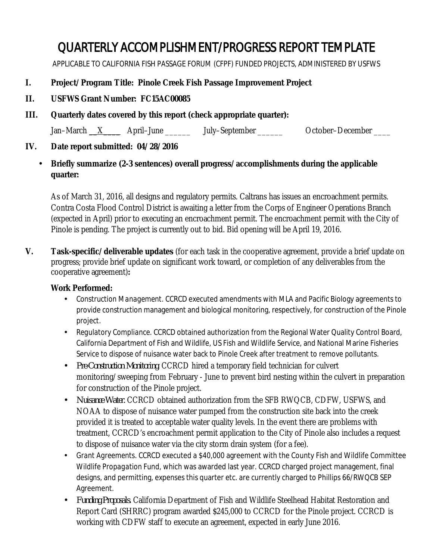# QUARTERLY ACCOMPLISHMENT/PROGRESS REPORT TEMPLATE

APPLICABLE TO CALIFORNIA FISH PASSAGE FORUM (CFPF) FUNDED PROJECTS, ADMINISTERED BY USFWS

## **I. Project/Program Title: Pinole Creek Fish Passage Improvement Project**

- **II. USFWS Grant Number: FC15AC00085**
- **III. Quarterly dates covered by this report (check appropriate quarter):**

Jan–March  $X$  April–June July–September  $\sim$  October–December  $\sim$ 

#### **IV. Date report submitted: 04/28/2016**

### **Briefly summarize (2-3 sentences) overall progress/accomplishments during the applicable quarter:**

As of March 31, 2016, all designs and regulatory permits. Caltrans has issues an encroachment permits. Contra Costa Flood Control District is awaiting a letter from the Corps of Engineer Operations Branch (expected in April) prior to executing an encroachment permit. The encroachment permit with the City of Pinole is pending. The project is currently out to bid. Bid opening will be April 19, 2016.

**V. Task-specific/deliverable updates** (for each task in the cooperative agreement, provide a brief update on progress; provide brief update on significant work toward, or completion of any deliverables from the cooperative agreement)**:**

#### **Work Performed:**

- *Construction Management.* CCRCD executed amendments with MLA and Pacific Biology agreements to provide construction management and biological monitoring, respectively, for construction of the Pinole project.
- *Regulatory Compliance.* CCRCD obtained authorization from the Regional Water Quality Control Board, California Department of Fish and Wildlife, US Fish and Wildlife Service, and National Marine Fisheries Service to dispose of nuisance water back to Pinole Creek after treatment to remove pollutants.
- *Pre-Construction Monitoring.* CCRCD hired a temporary field technician for culvert k, monitoring/sweeping from February - June to prevent bird nesting within the culvert in preparation for construction of the Pinole project.
- $\mathbf{r}^{\prime}$ *Nuisance Water.* CCRCD obtained authorization from the SFB RWQCB, CDFW, USFWS, and NOAA to dispose of nuisance water pumped from the construction site back into the creek provided it is treated to acceptable water quality levels. In the event there are problems with treatment, CCRCD's encroachment permit application to the City of Pinole also includes a request to dispose of nuisance water via the city storm drain system (for a fee).
- *Grant Agreements.* CCRCD executed a \$40,000 agreement with the County Fish and Wildlife Committee *Wildlife Propagation Fund*, which was awarded last year. CCRCD charged project management, final designs, and permitting, expenses this quarter etc. are currently charged to Phillips 66/RWQCB SEP Agreement.
- *Funding Proposals.* California Department of Fish and Wildlife Steelhead Habitat Restoration and Report Card (SHRRC) program awarded \$245,000 to CCRCD for the Pinole project. CCRCD is working with CDFW staff to execute an agreement, expected in early June 2016.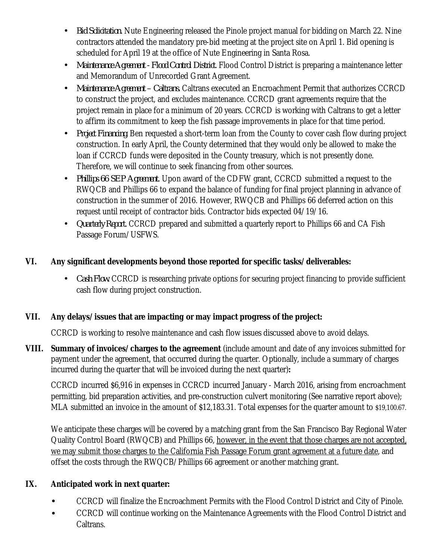- *Bid Solicitation.* Nute Engineering released the Pinole project manual for bidding on March 22. Nine  $\mathbf{r}$ contractors attended the mandatory pre-bid meeting at the project site on April 1. Bid opening is scheduled for April 19 at the office of Nute Engineering in Santa Rosa.
- *Maintenance Agreement - Flood Control District.* Flood Control District is preparing a maintenance letter  $\mathbf{r}^{\prime}$ and Memorandum of Unrecorded Grant Agreement.
- *Maintenance Agreement – Caltrans.* Caltrans executed an Encroachment Permit that authorizes CCRCD ä, to construct the project, and excludes maintenance. CCRCD grant agreements require that the project remain in place for a minimum of 20 years. CCRCD is working with Caltrans to get a letter to affirm its commitment to keep the fish passage improvements in place for that time period.
- *Project Financing.* Ben requested a short-term loan from the County to cover cash flow during project construction. In early April, the County determined that they would only be allowed to make the loan if CCRCD funds were deposited in the County treasury, which is not presently done. Therefore, we will continue to seek financing from other sources.
- *Phillips 66 SEP Agreement.* Upon award of the CDFW grant, CCRCD submitted a request to the RWQCB and Phillips 66 to expand the balance of funding for final project planning in advance of construction in the summer of 2016. However, RWQCB and Phillips 66 deferred action on this request until receipt of contractor bids. Contractor bids expected 04/19/16.
- *Quarterly Report.* CCRCD prepared and submitted a quarterly report to Phillips 66 and CA Fish Passage Forum/USFWS.

## **VI. Any significant developments beyond those reported for specific tasks/deliverables:**

*Cash Flow.* CCRCD is researching private options for securing project financing to provide sufficient cash flow during project construction.

## **VII. Any delays/issues that are impacting or may impact progress of the project:**

CCRCD is working to resolve maintenance and cash flow issues discussed above to avoid delays.

**VIII. Summary of invoices/charges to the agreement** (include amount and date of any invoices submitted for payment under the agreement, that occurred during the quarter. Optionally, include a summary of charges incurred during the quarter that will be invoiced during the next quarter)**:**

CCRCD incurred \$6,916 in expenses in CCRCD incurred January - March 2016, arising from encroachment permitting, bid preparation activities, and pre-construction culvert monitoring (See narrative report above); MLA submitted an invoice in the amount of \$12,183.31. Total expenses for the quarter amount to \$19,100.67.

We anticipate these charges will be covered by a matching grant from the San Francisco Bay Regional Water Quality Control Board (RWQCB) and Phillips 66, however, in the event that those charges are not accepted, we may submit those charges to the California Fish Passage Forum grant agreement at a future date, and offset the costs through the RWQCB/Phillips 66 agreement or another matching grant.

#### **IX. Anticipated work in next quarter:**

CCRCD will finalize the Encroachment Permits with the Flood Control District and City of Pinole. · CCRCD will continue working on the Maintenance Agreements with the Flood Control District and Caltrans.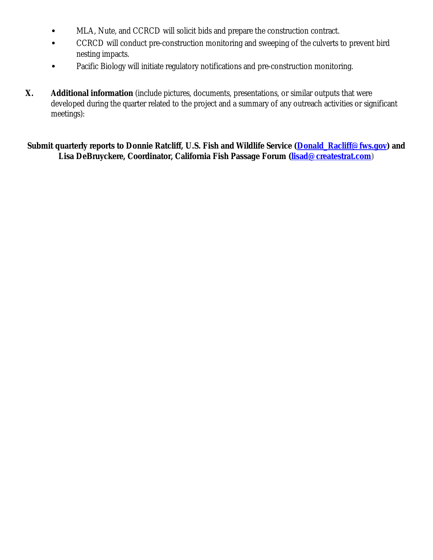- · MLA, Nute, and CCRCD will solicit bids and prepare the construction contract.
- · CCRCD will conduct pre-construction monitoring and sweeping of the culverts to prevent bird nesting impacts.
- · Pacific Biology will initiate regulatory notifications and pre-construction monitoring.
- **X. Additional information** (include pictures, documents, presentations, or similar outputs that were developed during the quarter related to the project and a summary of any outreach activities or significant meetings):

**Submit quarterly reports to Donnie Ratcliff, U.S. Fish and Wildlife Service (Donald\_Racliff@fws.gov) and Lisa DeBruyckere, Coordinator, California Fish Passage Forum (lisad@createstrat.com)**